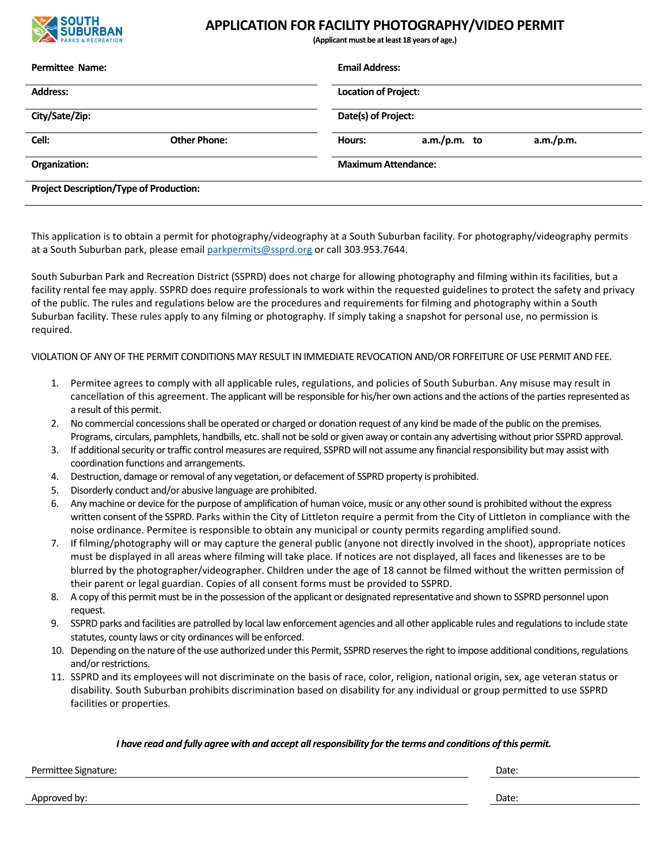

## **APPLICATION FOR FACILITY PHOTOGRAPHY/VIDEO PERMIT**

**(Applicant must be atleast 18 years of age.)**

| <b>Permittee Name:</b><br><b>Address:</b>      |                     | <b>Email Address:</b><br><b>Location of Project:</b> |                |           |                |
|------------------------------------------------|---------------------|------------------------------------------------------|----------------|-----------|----------------|
|                                                |                     |                                                      |                |           | City/Sate/Zip: |
| Cell:                                          | <b>Other Phone:</b> | Hours:                                               | $a.m./p.m.$ to | a.m./p.m. |                |
| Organization:                                  |                     | <b>Maximum Attendance:</b>                           |                |           |                |
| <b>Project Description/Type of Production:</b> |                     |                                                      |                |           |                |

This application is to obtain a permit for photography/videography at a South Suburban facility. For photography/videography permits at a South Suburban park, please email parkpermits@ssprd.org or call 303.953.7644.

South Suburban Park and Recreation District (SSPRD) does not charge for allowing photography and filming within its facilities, but a facility rental fee may apply. SSPRD does require professionals to work within the requested guidelines to protect the safety and privacy of the public. The rules and regulations below are the procedures and requirements for filming and photography within a South Suburban facility. These rules apply to any filming or photography. If simply taking a snapshot for personal use, no permission is required.

VIOLATION OF ANYOF THE PERMIT CONDITIONS MAY RESULT IN IMMEDIATE REVOCATION AND/OR FORFEITURE OF USE PERMIT AND FEE.

- 1. Permitee agrees to comply with all applicable rules, regulations, and policies of South Suburban. Any misuse may result in cancellation of this agreement. The applicant will be responsible for his/her own actions and the actions of the parties represented as a result of this permit.
- 2. No commercial concessionsshall be operated or charged or donation request of any kind be made of the public on the premises. Programs, circulars, pamphlets, handbills, etc. shall not be sold or given away or contain any advertising without prior SSPRD approval.
- 3. If additional security or traffic control measures are required, SSPRD will not assume any financial responsibility but may assist with coordination functions and arrangements.
- 4. Destruction, damage or removal of any vegetation, or defacement of SSPRD property is prohibited.
- 5. Disorderly conduct and/or abusive language are prohibited.
- 6. Any machine or device forthe purpose of amplification of human voice, music or any othersound is prohibited without the express written consent of the SSPRD. Parks within the City of Littleton require a permit from the City of Littleton in compliance with the noise ordinance. Permitee is responsible to obtain any municipal or county permits regarding amplified sound.
- 7. If filming/photography will or may capture the general public (anyone not directly involved in the shoot), appropriate notices must be displayed in all areas where filming will take place. If notices are not displayed, all faces and likenesses are to be blurred by the photographer/videographer. Children under the age of 18 cannot be filmed without the written permission of their parent or legal guardian. Copies of all consent forms must be provided to SSPRD.
- 8. A copy of this permit must be in the possession of the applicant or designated representative and shown to SSPRD personnel upon request.
- 9. SSPRD parks and facilities are patrolled by local law enforcement agencies and all other applicable rules and regulationsto include state statutes, county laws or city ordinances will be enforced.
- 10. Depending on the nature of the use authorized under this Permit, SSPRD reserves the right to impose additional conditions, regulations and/or restrictions.
- 11. SSPRD and its employees will not discriminate on the basis of race, color, religion, national origin, sex, age veteran status or disability. South Suburban prohibits discrimination based on disability for any individual or group permitted to use SSPRD facilities or properties.

## *I have read and fully agree with and accept allresponsibility forthe terms and conditions ofthis permit.*

Permittee Signature: Date: Date: Date: Date: Date: Date: Date: Date: Date: Date: Date: Date: Date: Date: Date: Date: Date: Date: Date: Date: Date: Date: Date: Date: Date: Date: Date: Date: Date: Date: Date: Date: Date: Dat

Approved by: Date:  $\blacksquare$